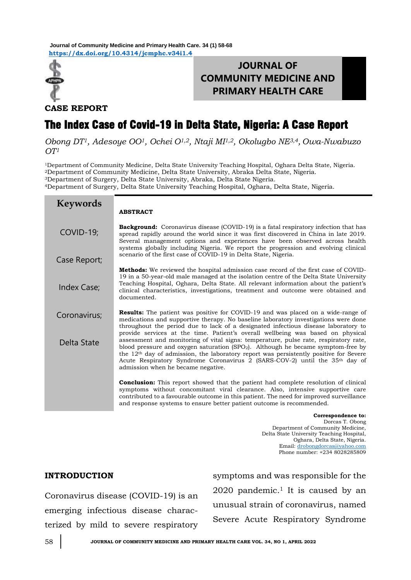**<https://dx.doi.org/10.4314/jcmphc.v34i1.4> Journal of Community Medicine and Primary Health Care. 34 (1) 58-68**



# **JOURNAL OF COMMUNITY MEDICINE AND PRIMARY HEALTH CARE**

**CASE REPORT**

# The Index Case of Covid-19 in Delta State, Nigeria: A Case Report

*Obong DT1, Adesoye OO1, Ochei O1,2, Ntaji MI1,2, Okolugbo NE3,4, Owa-Nwabuzo OT<sup>1</sup>*

<sup>1</sup>Department of Community Medicine, Delta State University Teaching Hospital, Oghara Delta State, Nigeria. <sup>2</sup>Department of Community Medicine, Delta State University, Abraka Delta State, Nigeria. <sup>3</sup>Department of Surgery, Delta State University, Abraka, Delta State Nigeria.

<sup>4</sup>Department of Surgery, Delta State University Teaching Hospital, Oghara, Delta State, Nigeria.

| <b>Keywords</b> | <b>ABSTRACT</b>                                                                                                                                                                                                                                                                                                                                                                                                                                                                                     |
|-----------------|-----------------------------------------------------------------------------------------------------------------------------------------------------------------------------------------------------------------------------------------------------------------------------------------------------------------------------------------------------------------------------------------------------------------------------------------------------------------------------------------------------|
|                 |                                                                                                                                                                                                                                                                                                                                                                                                                                                                                                     |
| COVID-19;       | <b>Background:</b> Coronavirus disease (COVID-19) is a fatal respiratory infection that has<br>spread rapidly around the world since it was first discovered in China in late 2019.<br>Several management options and experiences have been observed across health<br>systems globally including Nigeria. We report the progression and evolving clinical                                                                                                                                           |
| Case Report;    | scenario of the first case of COVID-19 in Delta State, Nigeria.                                                                                                                                                                                                                                                                                                                                                                                                                                     |
| Index Case;     | <b>Methods:</b> We reviewed the hospital admission case record of the first case of COVID-<br>19 in a 50-year-old male managed at the isolation centre of the Delta State University<br>Teaching Hospital, Oghara, Delta State. All relevant information about the patient's<br>clinical characteristics, investigations, treatment and outcome were obtained and<br>documented.                                                                                                                    |
| Coronavirus;    | <b>Results:</b> The patient was positive for COVID-19 and was placed on a wide-range of<br>medications and supportive therapy. No baseline laboratory investigations were done<br>throughout the period due to lack of a designated infectious disease laboratory to                                                                                                                                                                                                                                |
| Delta State     | provide services at the time. Patient's overall wellbeing was based on physical<br>assessment and monitoring of vital signs: temperature, pulse rate, respiratory rate,<br>blood pressure and oxygen saturation $(SPO2)$ . Although he became symptom-free by<br>the 12 <sup>th</sup> day of admission, the laboratory report was persistently positive for Severe<br>Acute Respiratory Syndrome Coronavirus 2 (SARS-COV-2) until the 35 <sup>th</sup> day of<br>admission when he became negative. |
|                 | <b>Conclusion:</b> This report showed that the patient had complete resolution of clinical<br>symptoms without concomitant viral clearance. Also, intensive supportive care<br>contributed to a favourable outcome in this patient. The need for improved surveillance<br>and response systems to ensure better patient outcome is recommended.                                                                                                                                                     |

**Correspondence to:**  Dorcas T. Obong Department of Community Medicine, Delta State University Teaching Hospital, Oghara, Delta State, Nigeria. Email: [drobongdorcas@yahoo.com](mailto:drobongdorcas@yahoo.com) Phone number: +234 8028285809

# **INTRODUCTION**

Coronavirus disease (COVID-19) is an emerging infectious disease characterized by mild to severe respiratory symptoms and was responsible for the  $2020$  pandemic.<sup>1</sup> It is caused by an unusual strain of coronavirus, named Severe Acute Respiratory Syndrome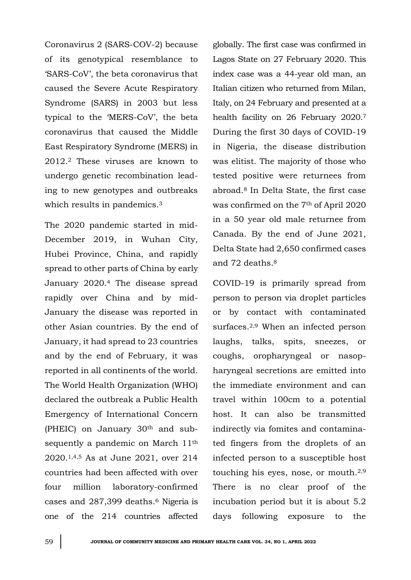Coronavirus 2 (SARS-COV-2) because of its genotypical resemblance to 'SARS-CoV', the beta coronavirus that caused the Severe Acute Respiratory Syndrome (SARS) in 2003 but less typical to the 'MERS-CoV', the beta coronavirus that caused the Middle East Respiratory Syndrome (MERS) in 2012.<sup>2</sup> These viruses are known to undergo genetic recombination leading to new genotypes and outbreaks which results in pandemics.<sup>3</sup>

The 2020 pandemic started in mid-December 2019, in Wuhan City, Hubei Province, China, and rapidly spread to other parts of China by early January 2020.<sup>4</sup> The disease spread rapidly over China and by mid-January the disease was reported in other Asian countries. By the end of January, it had spread to 23 countries and by the end of February, it was reported in all continents of the world. The World Health Organization (WHO) declared the outbreak a Public Health Emergency of International Concern (PHEIC) on January 30th and subsequently a pandemic on March 11<sup>th</sup> 2020.1,4,5 As at June 2021, over 214 countries had been affected with over four million laboratory-confirmed cases and 287,399 deaths.<sup>6</sup> Nigeria is one of the 214 countries affected

globally. The first case was confirmed in Lagos State on 27 February 2020. This index case was a 44-year old man, an Italian citizen who returned from Milan, Italy, on 24 February and presented at a health facility on 26 February 2020.<sup>7</sup> During the first 30 days of COVID-19 in Nigeria, the disease distribution was elitist. The majority of those who tested positive were returnees from abroad.<sup>8</sup> In Delta State, the first case was confirmed on the 7th of April 2020 in a 50 year old male returnee from Canada. By the end of June 2021, Delta State had 2,650 confirmed cases and 72 deaths.<sup>8</sup>

COVID-19 is primarily spread from person to person via droplet particles or by contact with contaminated surfaces.2,9 When an infected person laughs, talks, spits, sneezes, or coughs, oropharyngeal or nasopharyngeal secretions are emitted into the immediate environment and can travel within 100cm to a potential host. It can also be transmitted indirectly via fomites and contaminated fingers from the droplets of an infected person to a susceptible host touching his eyes, nose, or mouth.2,9 There is no clear proof of the incubation period but it is about 5.2 days following exposure to the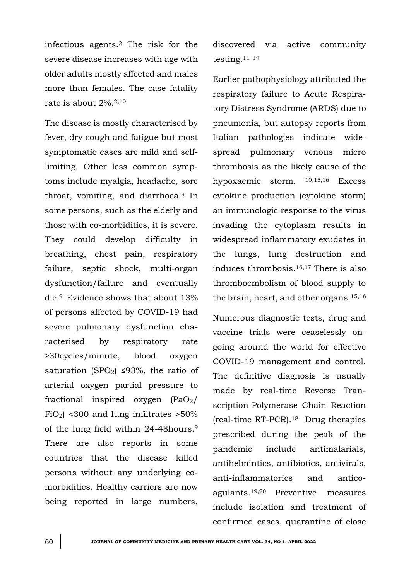infectious agents.<sup>2</sup> The risk for the severe disease increases with age with older adults mostly affected and males more than females. The case fatality rate is about 2%.2,10

The disease is mostly characterised by fever, dry cough and fatigue but most symptomatic cases are mild and selflimiting. Other less common symptoms include myalgia, headache, sore throat, vomiting, and diarrhoea.<sup>9</sup> In some persons, such as the elderly and those with co-morbidities, it is severe. They could develop difficulty in breathing, chest pain, respiratory failure, septic shock, multi-organ dysfunction/failure and eventually die.9 Evidence shows that about 13% of persons affected by COVID-19 had severe pulmonary dysfunction characterised by respiratory rate ≥30cycles/minute, blood oxygen saturation (SPO<sub>2</sub>) ≤93%, the ratio of arterial oxygen partial pressure to fractional inspired oxygen  $(PaO<sub>2</sub>/$  $FiO<sub>2</sub>$  <300 and lung infiltrates >50% of the lung field within 24-48hours.<sup>9</sup> There are also reports in some countries that the disease killed persons without any underlying comorbidities. Healthy carriers are now being reported in large numbers,

discovered via active community testing.11–<sup>14</sup>

Earlier pathophysiology attributed the respiratory failure to Acute Respiratory Distress Syndrome (ARDS) due to pneumonia, but autopsy reports from Italian pathologies indicate widespread pulmonary venous micro thrombosis as the likely cause of the hypoxaemic storm. 10,15,16 Excess cytokine production (cytokine storm) an immunologic response to the virus invading the cytoplasm results in widespread inflammatory exudates in the lungs, lung destruction and induces thrombosis.16,17 There is also thromboembolism of blood supply to the brain, heart, and other organs.15,16

Numerous diagnostic tests, drug and vaccine trials were ceaselessly ongoing around the world for effective COVID-19 management and control. The definitive diagnosis is usually made by real-time Reverse Transcription-Polymerase Chain Reaction (real-time RT-PCR).18 Drug therapies prescribed during the peak of the pandemic include antimalarials, antihelmintics, antibiotics, antivirals, anti-inflammatories and anticoagulants.19,20 Preventive measures include isolation and treatment of confirmed cases, quarantine of close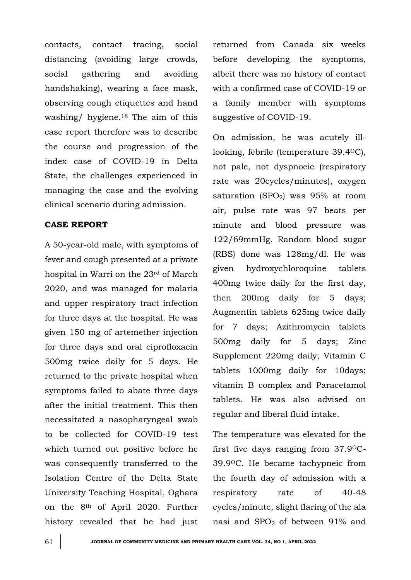contacts, contact tracing, social distancing (avoiding large crowds, social gathering and avoiding handshaking), wearing a face mask, observing cough etiquettes and hand washing/ hygiene.<sup>18</sup> The aim of this case report therefore was to describe the course and progression of the index case of COVID-19 in Delta State, the challenges experienced in managing the case and the evolving clinical scenario during admission.

# **CASE REPORT**

A 50-year-old male, with symptoms of fever and cough presented at a private hospital in Warri on the 23rd of March 2020, and was managed for malaria and upper respiratory tract infection for three days at the hospital. He was given 150 mg of artemether injection for three days and oral ciprofloxacin 500mg twice daily for 5 days. He returned to the private hospital when symptoms failed to abate three days after the initial treatment. This then necessitated a nasopharyngeal swab to be collected for COVID-19 test which turned out positive before he was consequently transferred to the Isolation Centre of the Delta State University Teaching Hospital, Oghara on the 8th of April 2020. Further history revealed that he had just returned from Canada six weeks before developing the symptoms, albeit there was no history of contact with a confirmed case of COVID-19 or a family member with symptoms suggestive of COVID-19.

On admission, he was acutely illlooking, febrile (temperature 39.4OC), not pale, not dyspnoeic (respiratory rate was 20cycles/minutes), oxygen saturation (SPO<sub>2</sub>) was  $95%$  at room air, pulse rate was 97 beats per minute and blood pressure was 122/69mmHg. Random blood sugar (RBS) done was 128mg/dl. He was given hydroxychloroquine tablets 400mg twice daily for the first day, then 200mg daily for 5 days; Augmentin tablets 625mg twice daily for 7 days; Azithromycin tablets 500mg daily for 5 days; Zinc Supplement 220mg daily; Vitamin C tablets 1000mg daily for 10days; vitamin B complex and Paracetamol tablets. He was also advised on regular and liberal fluid intake.

The temperature was elevated for the first five days ranging from 37.9OC-39.9OC. He became tachypneic from the fourth day of admission with a respiratory rate of 40-48 cycles/minute, slight flaring of the ala nasi and SPO<sup>2</sup> of between 91% and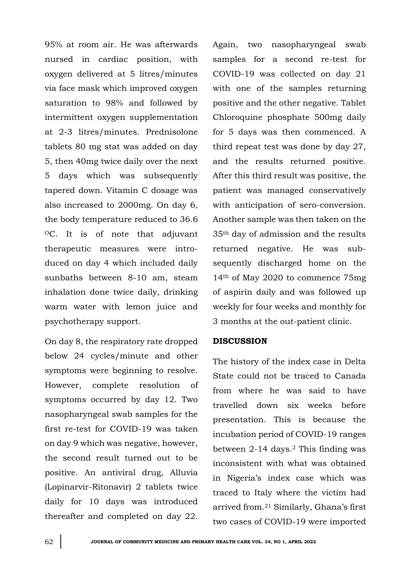95% at room air. He was afterwards nursed in cardiac position, with oxygen delivered at 5 litres/minutes via face mask which improved oxygen saturation to 98% and followed by intermittent oxygen supplementation at 2-3 litres/minutes. Prednisolone tablets 80 mg stat was added on day 5, then 40mg twice daily over the next 5 days which was subsequently tapered down. Vitamin C dosage was also increased to 2000mg. On day 6, the body temperature reduced to 36.6 <sup>O</sup>C. It is of note that adjuvant therapeutic measures were introduced on day 4 which included daily sunbaths between 8-10 am, steam inhalation done twice daily, drinking warm water with lemon juice and psychotherapy support.

On day 8, the respiratory rate dropped below 24 cycles/minute and other symptoms were beginning to resolve. However, complete resolution of symptoms occurred by day 12. Two nasopharyngeal swab samples for the first re-test for COVID-19 was taken on day 9 which was negative, however, the second result turned out to be positive. An antiviral drug, Alluvia (Lopinarvir-Ritonavir) 2 tablets twice daily for 10 days was introduced thereafter and completed on day 22.

Again, two nasopharyngeal swab samples for a second re-test for COVID-19 was collected on day 21 with one of the samples returning positive and the other negative. Tablet Chloroquine phosphate 500mg daily for 5 days was then commenced. A third repeat test was done by day 27, and the results returned positive. After this third result was positive, the patient was managed conservatively with anticipation of sero-conversion. Another sample was then taken on the 35th day of admission and the results returned negative. He was subsequently discharged home on the 14th of May 2020 to commence 75mg of aspirin daily and was followed up weekly for four weeks and monthly for 3 months at the out-patient clinic.

# **DISCUSSION**

The history of the index case in Delta State could not be traced to Canada from where he was said to have travelled down six weeks before presentation. This is because the incubation period of COVID-19 ranges between 2-14 days.<sup>2</sup> This finding was inconsistent with what was obtained in Nigeria's index case which was traced to Italy where the victim had arrived from.<sup>21</sup> Similarly, Ghana's first two cases of COVID-19 were imported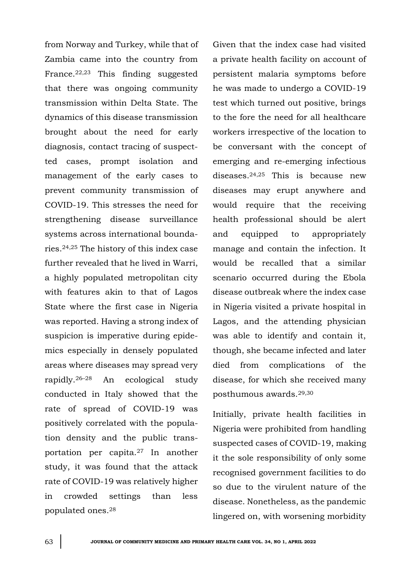from Norway and Turkey, while that of Zambia came into the country from France.22,23 This finding suggested that there was ongoing community transmission within Delta State. The dynamics of this disease transmission brought about the need for early diagnosis, contact tracing of suspectted cases, prompt isolation and management of the early cases to prevent community transmission of COVID-19. This stresses the need for strengthening disease surveillance systems across international boundaries.24,25 The history of this index case further revealed that he lived in Warri, a highly populated metropolitan city with features akin to that of Lagos State where the first case in Nigeria was reported. Having a strong index of suspicion is imperative during epidemics especially in densely populated areas where diseases may spread very rapidly.26–<sup>28</sup> An ecological study conducted in Italy showed that the rate of spread of COVID-19 was positively correlated with the population density and the public transportation per capita.<sup>27</sup> In another study, it was found that the attack rate of COVID-19 was relatively higher in crowded settings than less populated ones.<sup>28</sup>

Given that the index case had visited a private health facility on account of persistent malaria symptoms before he was made to undergo a COVID-19 test which turned out positive, brings to the fore the need for all healthcare workers irrespective of the location to be conversant with the concept of emerging and re-emerging infectious diseases.24,25 This is because new diseases may erupt anywhere and would require that the receiving health professional should be alert and equipped to appropriately manage and contain the infection. It would be recalled that a similar scenario occurred during the Ebola disease outbreak where the index case in Nigeria visited a private hospital in Lagos, and the attending physician was able to identify and contain it, though, she became infected and later died from complications of the disease, for which she received many posthumous awards.29,30

Initially, private health facilities in Nigeria were prohibited from handling suspected cases of COVID-19, making it the sole responsibility of only some recognised government facilities to do so due to the virulent nature of the disease. Nonetheless, as the pandemic lingered on, with worsening morbidity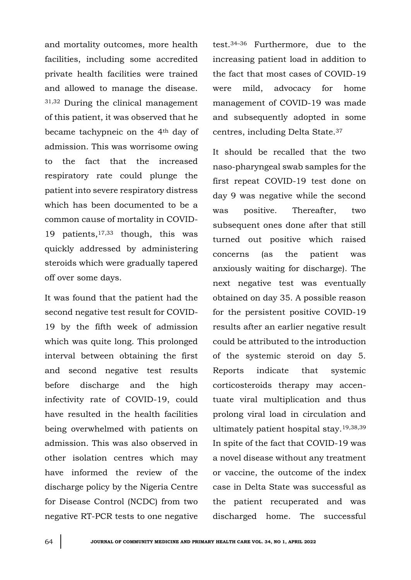and mortality outcomes, more health facilities, including some accredited private health facilities were trained and allowed to manage the disease. 31,32 During the clinical management of this patient, it was observed that he became tachypneic on the 4th day of admission. This was worrisome owing to the fact that the increased respiratory rate could plunge the patient into severe respiratory distress which has been documented to be a common cause of mortality in COVID-19 patients,17,33 though, this was quickly addressed by administering steroids which were gradually tapered off over some days.

It was found that the patient had the second negative test result for COVID-19 by the fifth week of admission which was quite long. This prolonged interval between obtaining the first and second negative test results before discharge and the high infectivity rate of COVID-19, could have resulted in the health facilities being overwhelmed with patients on admission. This was also observed in other isolation centres which may have informed the review of the discharge policy by the Nigeria Centre for Disease Control (NCDC) from two negative RT-PCR tests to one negative

test.34–<sup>36</sup> Furthermore, due to the increasing patient load in addition to the fact that most cases of COVID-19 were mild, advocacy for home management of COVID-19 was made and subsequently adopted in some centres, including Delta State.<sup>37</sup>

It should be recalled that the two naso-pharyngeal swab samples for the first repeat COVID-19 test done on day 9 was negative while the second was positive. Thereafter, two subsequent ones done after that still turned out positive which raised concerns (as the patient was anxiously waiting for discharge). The next negative test was eventually obtained on day 35. A possible reason for the persistent positive COVID-19 results after an earlier negative result could be attributed to the introduction of the systemic steroid on day 5. Reports indicate that systemic corticosteroids therapy may accentuate viral multiplication and thus prolong viral load in circulation and ultimately patient hospital stay.19,38,39 In spite of the fact that COVID-19 was a novel disease without any treatment or vaccine, the outcome of the index case in Delta State was successful as the patient recuperated and was discharged home. The successful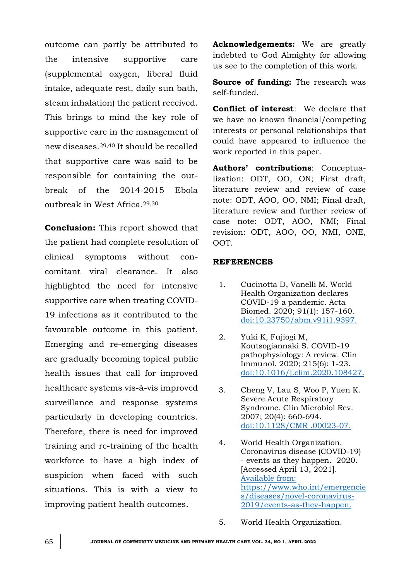outcome can partly be attributed to the intensive supportive care (supplemental oxygen, liberal fluid intake, adequate rest, daily sun bath, steam inhalation) the patient received. This brings to mind the key role of supportive care in the management of new diseases.29,40 It should be recalled that supportive care was said to be responsible for containing the outbreak of the 2014-2015 Ebola outbreak in West Africa.29,30

**Conclusion:** This report showed that the patient had complete resolution of clinical symptoms without concomitant viral clearance. It also highlighted the need for intensive supportive care when treating COVID-19 infections as it contributed to the favourable outcome in this patient. Emerging and re-emerging diseases are gradually becoming topical public health issues that call for improved healthcare systems vis-à-vis improved surveillance and response systems particularly in developing countries. Therefore, there is need for improved training and re-training of the health workforce to have a high index of suspicion when faced with such situations. This is with a view to improving patient health outcomes.

**Acknowledgements:** We are greatly indebted to God Almighty for allowing us see to the completion of this work.

**Source of funding:** The research was self-funded.

**Conflict of interest**: We declare that we have no known financial/competing interests or personal relationships that could have appeared to influence the work reported in this paper.

**Authors' contributions**: Conceptualization: ODT, OO, ON; First draft, literature review and review of case note: ODT, AOO, OO, NMI; Final draft, literature review and further review of case note: ODT, AOO, NMI; Final revision: ODT, AOO, OO, NMI, ONE, OOT.

#### **REFERENCES**

- 1. Cucinotta D, Vanelli M. World Health Organization declares COVID-19 a pandemic. Acta Biomed. 2020; 91(1): 157-160. <doi:10.23750/abm.v91i1.9397.>
- 2. Yuki K, Fujiogi M, Koutsogiannaki S. COVID-19 pathophysiology: A review. Clin Immunol. 2020; 215(6): 1-23. <doi:10.1016/j.clim.2020.108427.>
- 3. Cheng V, Lau S, Woo P, Yuen K. Severe Acute Respiratory Syndrome. Clin Microbiol Rev. 2007; 20(4): 660-694. [doi:10.1128/CMR .00023-07.](doi:10.1128/CMR%20.00023-07.)
- 4. World Health Organization. Coronavirus disease (COVID-19) - events as they happen. 2020. [Accessed April 13, 2021]. [Available from:](file:///C:/Users/Dr%20Omuemu/Desktop/for%20printing/Undergrad%20lect%202022/JCMPHC%2034(1)%20April%202022/Available%20from:%20https:/www.who.int/emergencies/diseases/novel-coronavirus-2019/events-as-they-happen)  [https://www.who.int/emergencie](file:///C:/Users/Dr%20Omuemu/Desktop/for%20printing/Undergrad%20lect%202022/JCMPHC%2034(1)%20April%202022/Available%20from:%20https:/www.who.int/emergencies/diseases/novel-coronavirus-2019/events-as-they-happen) [s/diseases/novel-coronavirus-](file:///C:/Users/Dr%20Omuemu/Desktop/for%20printing/Undergrad%20lect%202022/JCMPHC%2034(1)%20April%202022/Available%20from:%20https:/www.who.int/emergencies/diseases/novel-coronavirus-2019/events-as-they-happen)[2019/events-as-they-happen.](file:///C:/Users/Dr%20Omuemu/Desktop/for%20printing/Undergrad%20lect%202022/JCMPHC%2034(1)%20April%202022/Available%20from:%20https:/www.who.int/emergencies/diseases/novel-coronavirus-2019/events-as-they-happen)
- 5. World Health Organization.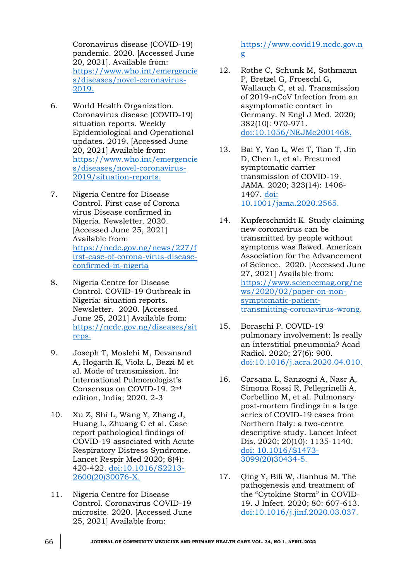Coronavirus disease (COVID-19) pandemic. 2020. [Accessed June 20, 2021]. Available from: [https://www.who.int/emergencie](https://www.who.int/emergencies/diseases/novel-coronavirus-2019.) [s/diseases/novel-coronavirus-](https://www.who.int/emergencies/diseases/novel-coronavirus-2019.)[2019.](https://www.who.int/emergencies/diseases/novel-coronavirus-2019.)

- 6. World Health Organization. Coronavirus disease (COVID-19) situation reports. Weekly Epidemiological and Operational updates. 2019. [Accessed June 20, 2021] Available from: [https://www.who.int/emergencie](https://www.who.int/emergencies/diseases/novel-coronavirus-2019/situation-reports.) [s/diseases/novel-coronavirus-](https://www.who.int/emergencies/diseases/novel-coronavirus-2019/situation-reports.)[2019/situation-reports.](https://www.who.int/emergencies/diseases/novel-coronavirus-2019/situation-reports.)
- 7. Nigeria Centre for Disease Control. First case of Corona virus Disease confirmed in Nigeria. Newsletter. 2020. [Accessed June 25, 2021] Available from: [https://ncdc.gov.ng/news/227/f](https://ncdc.gov.ng/news/227/first-case-of-corona-virus-disease-confirmed-in-nigeria) [irst-case-of-corona-virus-disease](https://ncdc.gov.ng/news/227/first-case-of-corona-virus-disease-confirmed-in-nigeria)[confirmed-in-nigeria](https://ncdc.gov.ng/news/227/first-case-of-corona-virus-disease-confirmed-in-nigeria)
- 8. Nigeria Centre for Disease Control. COVID-19 Outbreak in Nigeria: situation reports. Newsletter. 2020. [Accessed June 25, 2021] Available from: [https://ncdc.gov.ng/diseases/sit](https://ncdc.gov.ng/diseases/sitreps.) [reps.](https://ncdc.gov.ng/diseases/sitreps.)
- 9. Joseph T, Moslehi M, Devanand A, Hogarth K, Viola L, Bezzi M et al. Mode of transmission. In: International Pulmonologist's Consensus on COVID-19. 2nd edition, India; 2020. 2-3
- 10. Xu Z, Shi L, Wang Y, Zhang J, Huang L, Zhuang C et al. Case report pathological findings of COVID-19 associated with Acute Respiratory Distress Syndrome. Lancet Respir Med 2020; 8(4): 420-422. [doi:10.1016/S2213-](doi:10.1016/S2213-2600(20)30076-X.) [2600\(20\)30076-X.](doi:10.1016/S2213-2600(20)30076-X.)
- 11. Nigeria Centre for Disease Control. Coronavirus COVID-19 microsite. 2020. [Accessed June 25, 2021] Available from:

# [https://www.covid19.ncdc.gov.n](https://www.covid19.ncdc.gov.ng/) [g](https://www.covid19.ncdc.gov.ng/)

- 12. Rothe C, Schunk M, Sothmann P, Bretzel G, Froeschl G, Wallauch C, et al. Transmission of 2019-nCoV Infection from an asymptomatic contact in Germany. N Engl J Med. 2020; 382(10): 970-971. <doi:10.1056/NEJMc2001468.>
- 13. Bai Y, Yao L, Wei T, Tian T, Jin D, Chen L, et al. Presumed symptomatic carrier transmission of COVID-19. JAMA. 2020; 323(14): 1406- 1407. [doi:](doi:%2010.1001/jama.2020.2565.)  [10.1001/jama.2020.2565.](doi:%2010.1001/jama.2020.2565.)
- 14. Kupferschmidt K. Study claiming new coronavirus can be transmitted by people without symptoms was flawed. American Association for the Advancement of Science. 2020. [Accessed June 27, 2021] Available from: [https://www.sciencemag.org/ne](https://www.sciencemag.org/news/2020/02/paper-on-non-symptomatic-patient-transmitting-coronavirus-wrong.) [ws/2020/02/paper-on-non](https://www.sciencemag.org/news/2020/02/paper-on-non-symptomatic-patient-transmitting-coronavirus-wrong.)[symptomatic-patient](https://www.sciencemag.org/news/2020/02/paper-on-non-symptomatic-patient-transmitting-coronavirus-wrong.)[transmitting-coronavirus-wrong.](https://www.sciencemag.org/news/2020/02/paper-on-non-symptomatic-patient-transmitting-coronavirus-wrong.)
- 15. Boraschi P. COVID-19 pulmonary involvement: Is really an interstitial pneumonia? Acad Radiol. 2020; 27(6): 900. <doi:10.1016/j.acra.2020.04.010.>
- 16. Carsana L, Sanzogni A, Nasr A, Simona Rossi R, Pellegrinelli A, Corbellino M, et al. Pulmonary post-mortem findings in a large series of COVID-19 cases from Northern Italy: a two-centre descriptive study. Lancet Infect Dis. 2020; 20(10): 1135-1140. [doi: 10.1016/S1473-](doi:%2010.1016/S1473-3099(20)30434-5.) [3099\(20\)30434-5.](doi:%2010.1016/S1473-3099(20)30434-5.)
- 17. Qing Y, Bili W, Jianhua M. The pathogenesis and treatment of the "Cytokine Storm" in COVID-19. J Infect. 2020; 80: 607-613. <doi:10.1016/j.jinf.2020.03.037.>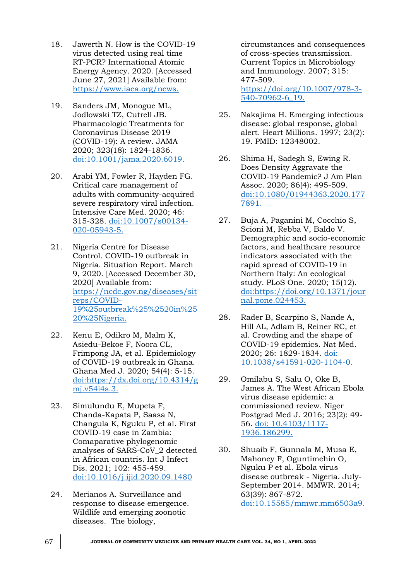- 18. Jawerth N. How is the COVID-19 virus detected using real time RT-PCR? International Atomic Energy Agency. 2020. [Accessed June 27, 2021] Available from: <https://www.iaea.org/news.>
- 19. Sanders JM, Monogue ML, Jodlowski TZ, Cutrell JB. Pharmacologic Treatments for Coronavirus Disease 2019 (COVID-19): A review. JAMA 2020; 323(18): 1824-1836. <doi:10.1001/jama.2020.6019.>
- 20. Arabi YM, Fowler R, Hayden FG. Critical care management of adults with community-acquired severe respiratory viral infection. Intensive Care Med. 2020; 46: 315-328. [doi:10.1007/s00134-](doi:10.1007/s00134-020-05943-5.) [020-05943-5.](doi:10.1007/s00134-020-05943-5.)
- 21. Nigeria Centre for Disease Control. COVID-19 outbreak in Nigeria. Situation Report. March 9, 2020. [Accessed December 30, 2020] Available from: [https://ncdc.gov.ng/diseases/sit](https://ncdc.gov.ng/diseases/sitreps/COVID-19%25outbreak%25%2520in%2520%25Nigeria.) [reps/COVID-](https://ncdc.gov.ng/diseases/sitreps/COVID-19%25outbreak%25%2520in%2520%25Nigeria.)[19%25outbreak%25%2520in%25](https://ncdc.gov.ng/diseases/sitreps/COVID-19%25outbreak%25%2520in%2520%25Nigeria.) [20%25Nigeria.](https://ncdc.gov.ng/diseases/sitreps/COVID-19%25outbreak%25%2520in%2520%25Nigeria.)
- 22. Kenu E, Odikro M, Malm K, Asiedu-Bekoe F, Noora CL, Frimpong JA, et al. Epidemiology of COVID-19 outbreak in Ghana. Ghana Med J. 2020; 54(4): 5-15. [doi:https://dx.doi.org/10.4314/g](doi:https://dx.doi.org/10.4314/gmj.v54i4s.3.) [mj.v54i4s.3.](doi:https://dx.doi.org/10.4314/gmj.v54i4s.3.)
- 23. Simulundu E, Mupeta F, Chanda-Kapata P, Saasa N, Changula K, Nguku P, et al. First COVID-19 case in Zambia: Comaparative phylogenomic analyses of SARS-CoV\_2 detected in African countris. Int J Infect Dis. 2021; 102: 455-459. <doi:10.1016/j.ijid.2020.09.1480>
- 24. Merianos A. Surveillance and response to disease emergence. Wildlife and emerging zoonotic diseases. The biology,

circumstances and consequences of cross-species transmission. Current Topics in Microbiology and Immunology. 2007; 315: 477-509.

[https://doi.org/10.1007/978-3-](https://doi.org/10.1007/978-3-540-70962-6_19.) [540-70962-6\\_19.](https://doi.org/10.1007/978-3-540-70962-6_19.)

- 25. Nakajima H. Emerging infectious disease: global response, global alert. Heart Millions. 1997; 23(2): 19. PMID: 12348002.
- 26. Shima H, Sadegh S, Ewing R. Does Density Aggravate the COVID-19 Pandemic? J Am Plan Assoc. 2020; 86(4): 495-509. [doi:10.1080/01944363.2020.177](doi:10.1080/01944363.2020.1777891.) [7891.](doi:10.1080/01944363.2020.1777891.)
- 27. Buja A, Paganini M, Cocchio S, Scioni M, Rebba V, Baldo V. Demographic and socio-economic factors, and healthcare resource indicators associated with the rapid spread of COVID-19 in Northern Italy: An ecological study. PLoS One. 2020; 15(12). [doi:https://doi.org/10.1371/jour](doi:https://doi.org/10.1371/journal.pone.024453.) [nal.pone.024453.](doi:https://doi.org/10.1371/journal.pone.024453.)
- 28. Rader B, Scarpino S, Nande A, Hill AL, Adlam B, Reiner RC, et al. Crowding and the shape of COVID-19 epidemics. Nat Med. 2020; 26: 1829-1834. [doi:](doi:%2010.1038/s41591-020-1104-0.)  [10.1038/s41591-020-1104-0.](doi:%2010.1038/s41591-020-1104-0.)
- 29. Omilabu S, Salu O, Oke B, James A. The West African Ebola virus disease epidemic: a commissioned review. Niger Postgrad Med J. 2016; 23(2): 49- 56. [doi: 10.4103/1117-](doi:%2010.4103/1117-1936.186299.) [1936.186299.](doi:%2010.4103/1117-1936.186299.)
- 30. Shuaib F, Gunnala M, Musa E, Mahoney F, Oguntimehin O, Nguku P et al. Ebola virus disease outbreak - Nigeria. July-September 2014. MMWR. 2014; 63(39): 867-872. <doi:10.15585/mmwr.mm6503a9.>